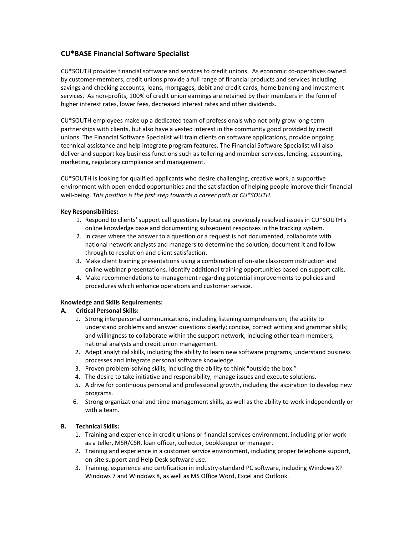# **CU\*BASE Financial Software Specialist**

CU\*SOUTH provides financial software and services to credit unions. As economic co-operatives owned by customer-members, credit unions provide a full range of financial products and services including savings and checking accounts, loans, mortgages, debit and credit cards, home banking and investment services. As non-profits, 100% of credit union earnings are retained by their members in the form of higher interest rates, lower fees, decreased interest rates and other dividends.

CU\*SOUTH employees make up a dedicated team of professionals who not only grow long-term partnerships with clients, but also have a vested interest in the community good provided by credit unions. The Financial Software Specialist will train clients on software applications, provide ongoing technical assistance and help integrate program features. The Financial Software Specialist will also deliver and support key business functions such as tellering and member services, lending, accounting, marketing, regulatory compliance and management.

CU\*SOUTH is looking for qualified applicants who desire challenging, creative work, a supportive environment with open-ended opportunities and the satisfaction of helping people improve their financial well-being. *This position is the first step towards a career path at CU\*SOUTH*.

## **Key Responsibilities:**

- 1. Respond to clients' support call questions by locating previously resolved issues in CU\*SOUTH's online knowledge base and documenting subsequent responses in the tracking system.
- 2. In cases where the answer to a question or a request is not documented, collaborate with national network analysts and managers to determine the solution, document it and follow through to resolution and client satisfaction.
- 3. Make client training presentations using a combination of on-site classroom instruction and online webinar presentations. Identify additional training opportunities based on support calls.
- 4. Make recommendations to management regarding potential improvements to policies and procedures which enhance operations and customer service.

## **Knowledge and Skills Requirements:**

## **A. Critical Personal Skills:**

- 1. Strong interpersonal communications, including listening comprehension; the ability to understand problems and answer questions clearly; concise, correct writing and grammar skills; and willingness to collaborate within the support network, including other team members, national analysts and credit union management.
- 2. Adept analytical skills, including the ability to learn new software programs, understand business processes and integrate personal software knowledge.
- 3. Proven problem-solving skills, including the ability to think "outside the box."
- 4. The desire to take initiative and responsibility, manage issues and execute solutions.
- 5. A drive for continuous personal and professional growth, including the aspiration to develop new programs.
- 6. Strong organizational and time-management skills, as well as the ability to work independently or with a team.

## **B. Technical Skills:**

- 1. Training and experience in credit unions or financial services environment, including prior work as a teller, MSR/CSR, loan officer, collector, bookkeeper or manager.
- 2. Training and experience in a customer service environment, including proper telephone support, on-site support and Help Desk software use.
- 3. Training, experience and certification in industry-standard PC software, including Windows XP Windows 7 and Windows 8, as well as MS Office Word, Excel and Outlook.